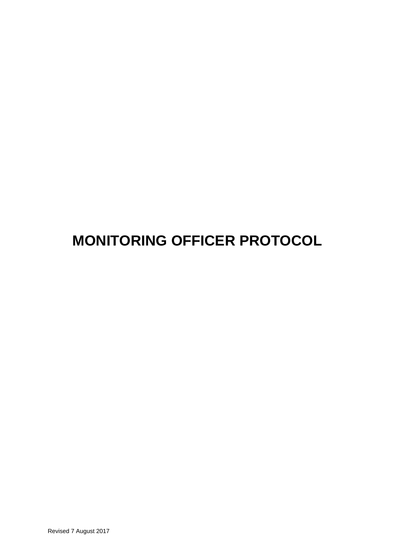# **MONITORING OFFICER PROTOCOL**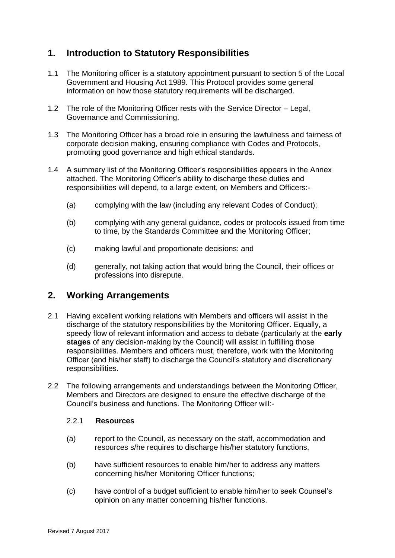## **1. Introduction to Statutory Responsibilities**

- 1.1 The Monitoring officer is a statutory appointment pursuant to section 5 of the Local Government and Housing Act 1989. This Protocol provides some general information on how those statutory requirements will be discharged.
- 1.2 The role of the Monitoring Officer rests with the Service Director Legal, Governance and Commissioning.
- 1.3 The Monitoring Officer has a broad role in ensuring the lawfulness and fairness of corporate decision making, ensuring compliance with Codes and Protocols, promoting good governance and high ethical standards.
- 1.4 A summary list of the Monitoring Officer's responsibilities appears in the Annex attached. The Monitoring Officer's ability to discharge these duties and responsibilities will depend, to a large extent, on Members and Officers:-
	- (a) complying with the law (including any relevant Codes of Conduct);
	- (b) complying with any general guidance, codes or protocols issued from time to time, by the Standards Committee and the Monitoring Officer;
	- (c) making lawful and proportionate decisions: and
	- (d) generally, not taking action that would bring the Council, their offices or professions into disrepute.

## **2. Working Arrangements**

- 2.1 Having excellent working relations with Members and officers will assist in the discharge of the statutory responsibilities by the Monitoring Officer. Equally, a speedy flow of relevant information and access to debate (particularly at the **early stages** of any decision-making by the Council) will assist in fulfilling those responsibilities. Members and officers must, therefore, work with the Monitoring Officer (and his/her staff) to discharge the Council's statutory and discretionary responsibilities.
- 2.2 The following arrangements and understandings between the Monitoring Officer, Members and Directors are designed to ensure the effective discharge of the Council's business and functions. The Monitoring Officer will:-

#### 2.2.1 **Resources**

- (a) report to the Council, as necessary on the staff, accommodation and resources s/he requires to discharge his/her statutory functions,
- (b) have sufficient resources to enable him/her to address any matters concerning his/her Monitoring Officer functions;
- (c) have control of a budget sufficient to enable him/her to seek Counsel's opinion on any matter concerning his/her functions.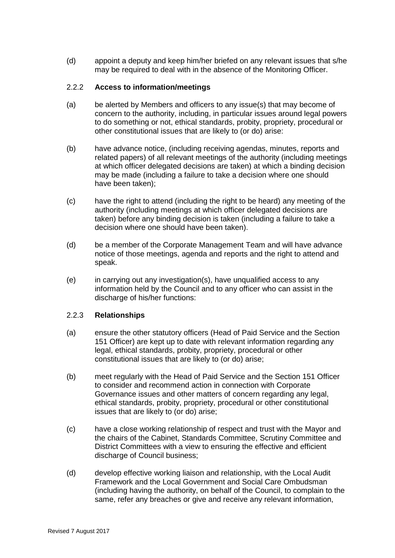(d) appoint a deputy and keep him/her briefed on any relevant issues that s/he may be required to deal with in the absence of the Monitoring Officer.

## 2.2.2 **Access to information/meetings**

- (a) be alerted by Members and officers to any issue(s) that may become of concern to the authority, including, in particular issues around legal powers to do something or not, ethical standards, probity, propriety, procedural or other constitutional issues that are likely to (or do) arise:
- (b) have advance notice, (including receiving agendas, minutes, reports and related papers) of all relevant meetings of the authority (including meetings at which officer delegated decisions are taken) at which a binding decision may be made (including a failure to take a decision where one should have been taken);
- (c) have the right to attend (including the right to be heard) any meeting of the authority (including meetings at which officer delegated decisions are taken) before any binding decision is taken (including a failure to take a decision where one should have been taken).
- (d) be a member of the Corporate Management Team and will have advance notice of those meetings, agenda and reports and the right to attend and speak.
- (e) in carrying out any investigation(s), have unqualified access to any information held by the Council and to any officer who can assist in the discharge of his/her functions:

#### 2.2.3 **Relationships**

- (a) ensure the other statutory officers (Head of Paid Service and the Section 151 Officer) are kept up to date with relevant information regarding any legal, ethical standards, probity, propriety, procedural or other constitutional issues that are likely to (or do) arise;
- (b) meet regularly with the Head of Paid Service and the Section 151 Officer to consider and recommend action in connection with Corporate Governance issues and other matters of concern regarding any legal, ethical standards, probity, propriety, procedural or other constitutional issues that are likely to (or do) arise;
- (c) have a close working relationship of respect and trust with the Mayor and the chairs of the Cabinet, Standards Committee, Scrutiny Committee and District Committees with a view to ensuring the effective and efficient discharge of Council business;
- (d) develop effective working liaison and relationship, with the Local Audit Framework and the Local Government and Social Care Ombudsman (including having the authority, on behalf of the Council, to complain to the same, refer any breaches or give and receive any relevant information,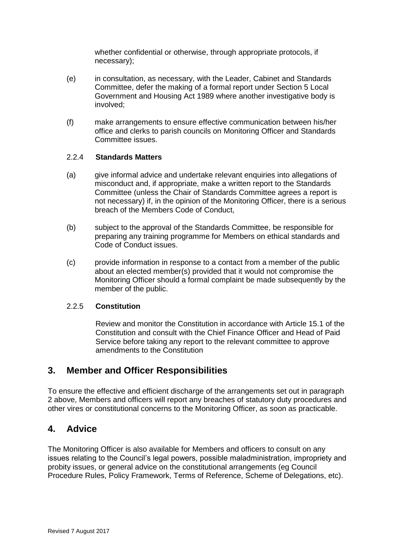whether confidential or otherwise, through appropriate protocols, if necessary);

- (e) in consultation, as necessary, with the Leader, Cabinet and Standards Committee, defer the making of a formal report under Section 5 Local Government and Housing Act 1989 where another investigative body is involved;
- (f) make arrangements to ensure effective communication between his/her office and clerks to parish councils on Monitoring Officer and Standards Committee issues.

### 2.2.4 **Standards Matters**

- (a) give informal advice and undertake relevant enquiries into allegations of misconduct and, if appropriate, make a written report to the Standards Committee (unless the Chair of Standards Committee agrees a report is not necessary) if, in the opinion of the Monitoring Officer, there is a serious breach of the Members Code of Conduct,
- (b) subject to the approval of the Standards Committee, be responsible for preparing any training programme for Members on ethical standards and Code of Conduct issues.
- (c) provide information in response to a contact from a member of the public about an elected member(s) provided that it would not compromise the Monitoring Officer should a formal complaint be made subsequently by the member of the public.

#### 2.2.5 **Constitution**

Review and monitor the Constitution in accordance with Article 15.1 of the Constitution and consult with the Chief Finance Officer and Head of Paid Service before taking any report to the relevant committee to approve amendments to the Constitution

## **3. Member and Officer Responsibilities**

To ensure the effective and efficient discharge of the arrangements set out in paragraph 2 above, Members and officers will report any breaches of statutory duty procedures and other vires or constitutional concerns to the Monitoring Officer, as soon as practicable.

## **4. Advice**

The Monitoring Officer is also available for Members and officers to consult on any issues relating to the Council's legal powers, possible maladministration, impropriety and probity issues, or general advice on the constitutional arrangements (eg Council Procedure Rules, Policy Framework, Terms of Reference, Scheme of Delegations, etc).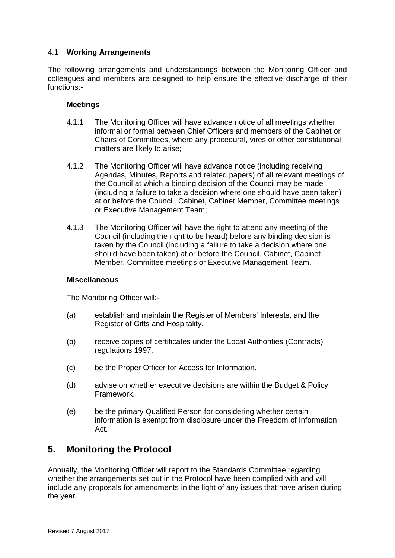## 4.1 **Working Arrangements**

The following arrangements and understandings between the Monitoring Officer and colleagues and members are designed to help ensure the effective discharge of their functions:-

#### **Meetings**

- 4.1.1 The Monitoring Officer will have advance notice of all meetings whether informal or formal between Chief Officers and members of the Cabinet or Chairs of Committees, where any procedural, vires or other constitutional matters are likely to arise;
- 4.1.2 The Monitoring Officer will have advance notice (including receiving Agendas, Minutes, Reports and related papers) of all relevant meetings of the Council at which a binding decision of the Council may be made (including a failure to take a decision where one should have been taken) at or before the Council, Cabinet, Cabinet Member, Committee meetings or Executive Management Team;
- 4.1.3 The Monitoring Officer will have the right to attend any meeting of the Council (including the right to be heard) before any binding decision is taken by the Council (including a failure to take a decision where one should have been taken) at or before the Council, Cabinet, Cabinet Member, Committee meetings or Executive Management Team.

#### **Miscellaneous**

The Monitoring Officer will:-

- (a) establish and maintain the Register of Members' Interests, and the Register of Gifts and Hospitality.
- (b) receive copies of certificates under the Local Authorities (Contracts) regulations 1997.
- (c) be the Proper Officer for Access for Information.
- (d) advise on whether executive decisions are within the Budget & Policy Framework.
- (e) be the primary Qualified Person for considering whether certain information is exempt from disclosure under the Freedom of Information Act.

## **5. Monitoring the Protocol**

Annually, the Monitoring Officer will report to the Standards Committee regarding whether the arrangements set out in the Protocol have been complied with and will include any proposals for amendments in the light of any issues that have arisen during the year.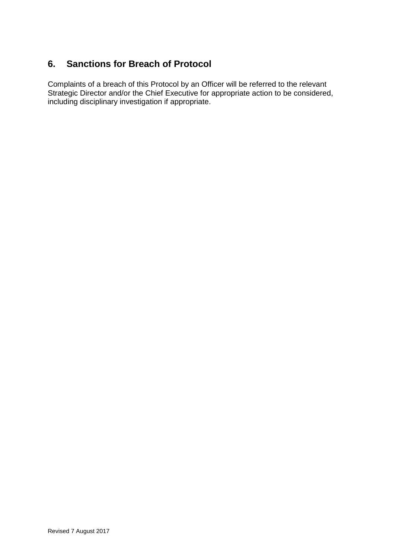# **6. Sanctions for Breach of Protocol**

Complaints of a breach of this Protocol by an Officer will be referred to the relevant Strategic Director and/or the Chief Executive for appropriate action to be considered, including disciplinary investigation if appropriate.